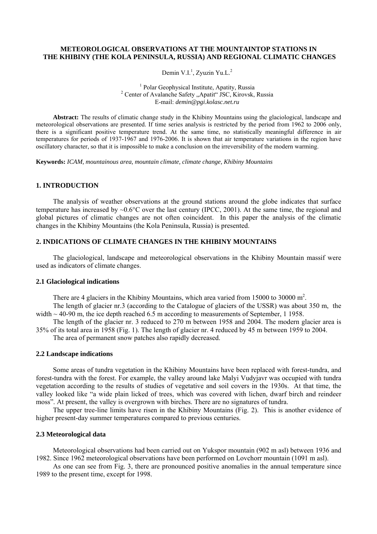# **METEOROLOGICAL OBSERVATIONS AT THE MOUNTAINTOP STATIONS IN THE KHIBINY (THE KOLA PENINSULA, RUSSIA) AND REGIONAL CLIMATIC CHANGES**

Demin V.I.<sup>1</sup>, Zyuzin Yu.L.<sup>2</sup>

1 Polar Geophysical Institute, Apatity, Russia<sup>2</sup> <sup>2</sup> Center of Avalanche Safety "Apatit" JSC, Kirovsk, Russia E-mail: *demin@pgi.kolasc.net.ru* 

**Abstract:** The results of climatic change study in the Khibiny Mountains using the glaciological, landscape and meteorological observations are presented. If time series analysis is restricted by the period from 1962 to 2006 only, there is a significant positive temperature trend. At the same time, no statistically meaningful difference in air temperatures for periods of 1937-1967 and 1976-2006. It is shown that air temperature variations in the region have oscillatory character, so that it is impossible to make a conclusion on the irreversibility of the modern warming.

**Keywords:** *ICAM, mountainous area, mountain climate, climate change, Khibiny Mountains*

## **1. INTRODUCTION**

The analysis of weather observations at the ground stations around the globe indicates that surface temperature has increased by ~0.6°C over the last century (IPCC, 2001). At the same time, the regional and global pictures of climatic changes are not often coincident. In this paper the analysis of the climatic changes in the Khibiny Mountains (the Kola Peninsula, Russia) is presented.

# **2. INDICATIONS OF CLIMATE CHANGES IN THE KHIBINY MOUNTAINS**

The glaciological, landscape and meteorological observations in the Khibiny Mountain massif were used as indicators of climate changes.

## **2.1 Glaciological indications**

There are 4 glaciers in the Khibiny Mountains, which area varied from 15000 to 30000  $m^2$ .

The length of glacier nr.3 (according to the Catalogue of glaciers of the USSR) was about 350 m, the width  $\sim$  40-90 m, the ice depth reached 6.5 m according to measurements of September, 1 1958.

The length of the glacier nr. 3 reduced to 270 m between 1958 and 2004. The modern glacier area is 35% of its total area in 1958 (Fig. 1). The length of glacier nr. 4 reduced by 45 m between 1959 to 2004.

The area of permanent snow patches also rapidly decreased.

### **2.2 Landscape indications**

Some areas of tundra vegetation in the Khibiny Mountains have been replaced with forest-tundra, and forest-tundra with the forest. For example, the valley around lake Malyi Vudyjavr was occupied with tundra vegetation according to the results of studies of vegetative and soil covers in the 1930s. At that time, the valley looked like "a wide plain licked of trees, which was covered with lichen, dwarf birch and reindeer moss". At present, the valley is overgrown with birches. There are no signatures of tundra.

The upper tree-line limits have risen in the Khibiny Mountains (Fig. 2). This is another evidence of higher present-day summer temperatures compared to previous centuries.

## **2.3 Meteorological data**

Meteorological observations had been carried out on Yukspor mountain (902 m asl) between 1936 and 1982. Since 1962 meteorological observations have been performed on Lovchorr mountain (1091 m asl).

As one can see from Fig. 3, there are pronounced positive anomalies in the annual temperature since 1989 to the present time, except for 1998.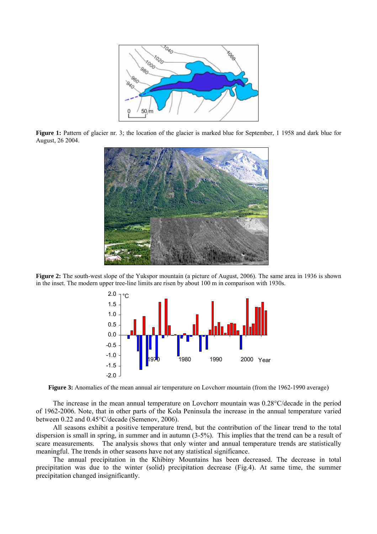

Figure 1: Pattern of glacier nr. 3; the location of the glacier is marked blue for September, 1 1958 and dark blue for August, 26 2004.



**Figure 2:** The south-west slope of the Yukspor mountain (a picture of August, 2006). The same area in 1936 is shown in the inset. The modern upper tree-line limits are risen by about 100 m in comparison with 1930s.



**Figure 3:** Anomalies of the mean annual air temperature on Lovchorr mountain (from the 1962-1990 average)

The increase in the mean annual temperature on Lovchorr mountain was 0.28°C/decade in the period of 1962-2006. Note, that in other parts of the Kola Peninsula the increase in the annual temperature varied between 0.22 and 0.45°С/decade (Semenov, 2006).

All seasons exhibit a positive temperature trend, but the contribution of the linear trend to the total dispersion is small in spring, in summer and in autumn (3-5%). This implies that the trend can be a result of scare measurements. The analysis shows that only winter and annual temperature trends are statistically meaningful. The trends in other seasons have not any statistical significance.

The annual precipitation in the Khibiny Mountains has been decreased. The decrease in total precipitation was due to the winter (solid) precipitation decrease (Fig.4). At same time, the summer precipitation changed insignificantly.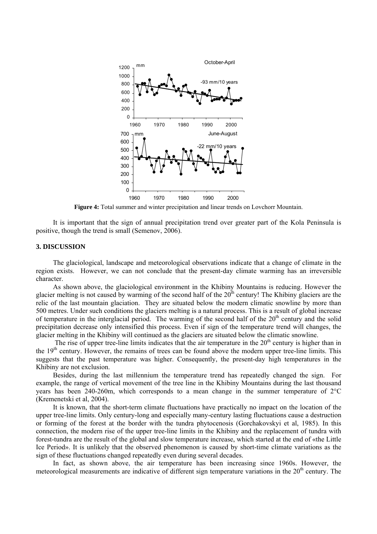

**Figure 4:** Total summer and winter precipitation and linear trends on Lovchorr Mountain.

It is important that the sign of annual precipitation trend over greater part of the Kola Peninsula is positive, though the trend is small (Semenov, 2006).

### **3. DISCUSSION**

The glaciological, landscape and meteorological observations indicate that a change of climate in the region exists. However, we can not conclude that the present-day climate warming has an irreversible character.

As shown above, the glaciological environment in the Khibiny Mountains is reducing. However the glacier melting is not caused by warming of the second half of the  $20<sup>th</sup>$  century! The Khibiny glaciers are the relic of the last mountain glaciation. They are situated below the modern climatic snowline by more than 500 metres. Under such conditions the glaciers melting is a natural process. This is a result of global increase of temperature in the interglacial period. The warming of the second half of the  $20<sup>th</sup>$  century and the solid precipitation decrease only intensified this process. Even if sign of the temperature trend will changes, the glacier melting in the Khibiny will continued as the glaciers are situated below the climatic snowline.

The rise of upper tree-line limits indicates that the air temperature in the  $20<sup>th</sup>$  century is higher than in the 19th century. However, the remains of trees can be found above the modern upper tree-line limits. This suggests that the past temperature was higher. Consequently, the present-day high temperatures in the Khibiny are not exclusion.

Besides, during the last millennium the temperature trend has repeatedly changed the sign. For example, the range of vertical movement of the tree line in the Khibiny Mountains during the last thousand years has been 240-260m, which corresponds to a mean change in the summer temperature of 2°C (Kremenetski et al, 2004).

It is known, that the short-term climate fluctuations have practically no impact on the location of the upper tree-line limits. Only century-long and especially many-century lasting fluctuations cause a destruction or forming of the forest at the border with the tundra phytocenosis (Gorchakovskyi et al, 1985). In this connection, the modern rise of the upper tree-line limits in the Khibiny and the replacement of tundra with forest-tundra are the result of the global and slow temperature increase, which started at the end of «the Little Ice Period». It is unlikely that the observed phenomenon is caused by short-time climate variations as the sign of these fluctuations changed repeatedly even during several decades.

In fact, as shown above, the air temperature has been increasing since 1960s. However, the meteorological measurements are indicative of different sign temperature variations in the 20<sup>th</sup> century. The